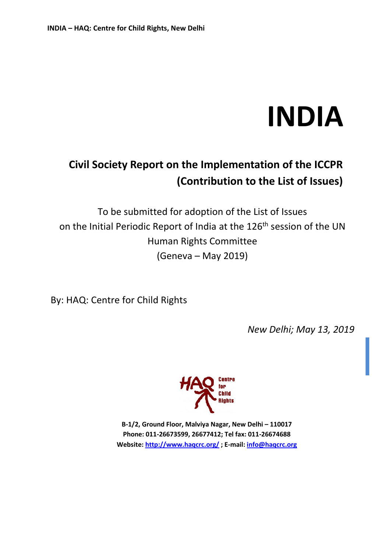# **INDIA**

# **Civil Society Report on the Implementation of the ICCPR (Contribution to the List of Issues)**

To be submitted for adoption of the List of Issues on the Initial Periodic Report of India at the 126<sup>th</sup> session of the UN Human Rights Committee (Geneva – May 2019)

By: HAQ: Centre for Child Rights

*New Delhi; May 13, 2019* 



**B-1/2, Ground Floor, Malviya Nagar, New Delhi – 110017 Phone: 011-26673599, 26677412; Tel fax: 011-26674688 Website:<http://www.haqcrc.org/> ; E-mail: [info@haqcrc.org](mailto:info@haqcrc.org)**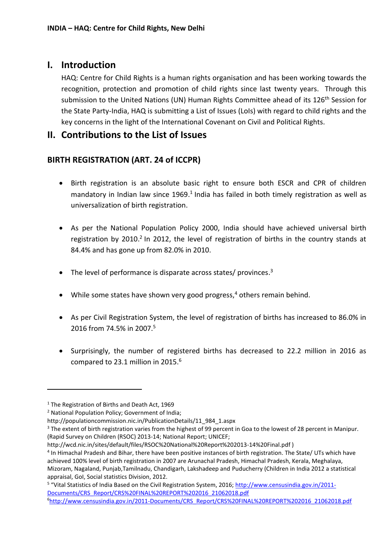#### **I. Introduction**

HAQ: Centre for Child Rights is a human rights organisation and has been working towards the recognition, protection and promotion of child rights since last twenty years. Through this submission to the United Nations (UN) Human Rights Committee ahead of its 126<sup>th</sup> Session for the State Party-India, HAQ is submitting a List of Issues (LoIs) with regard to child rights and the key concerns in the light of the International Covenant on Civil and Political Rights.

#### **II. Contributions to the List of Issues**

#### **BIRTH REGISTRATION (ART. 24 of ICCPR)**

- Birth registration is an absolute basic right to ensure both ESCR and CPR of children mandatory in Indian law since 1969.<sup>1</sup> India has failed in both timely registration as well as universalization of birth registration.
- As per the National Population Policy 2000, India should have achieved universal birth registration by 2010.<sup>2</sup> In 2012, the level of registration of births in the country stands at 84.4% and has gone up from 82.0% in 2010.
- The level of performance is disparate across states/ provinces.<sup>3</sup>
- While some states have shown very good progress,<sup>4</sup> others remain behind.
- As per Civil Registration System, the level of registration of births has increased to 86.0% in 2016 from 74.5% in 2007.<sup>5</sup>
- Surprisingly, the number of registered births has decreased to 22.2 million in 2016 as compared to 23.1 million in 2015.<sup>6</sup>

<sup>&</sup>lt;sup>1</sup> The Registration of Births and Death Act, 1969

<sup>&</sup>lt;sup>2</sup> National Population Policy; Government of India;

http://populationcommission.nic.in/PublicationDetails/11\_984\_1.aspx

<sup>&</sup>lt;sup>3</sup> The extent of birth registration varies from the highest of 99 percent in Goa to the lowest of 28 percent in Manipur. (Rapid Survey on Children (RSOC) 2013-14; National Report; UNICEF;

http://wcd.nic.in/sites/default/files/RSOC%20National%20Report%202013-14%20Final.pdf )

<sup>&</sup>lt;sup>4</sup> In Himachal Pradesh and Bihar, there have been positive instances of birth registration. The State/ UTs which have achieved 100% level of birth registration in 2007 are Arunachal Pradesh, Himachal Pradesh, Kerala, Meghalaya, Mizoram, Nagaland, Punjab,Tamilnadu, Chandigarh, Lakshadeep and Puducherry (Children in India 2012 a statistical appraisal, GoI, Social statistics Division, 2012.

<sup>&</sup>lt;sup>5</sup> "Vital Statistics of India Based on the Civil Registration System, 2016; [http://www.censusindia.gov.in/2011-](http://www.censusindia.gov.in/2011-Documents/CRS_Report/CRS%20FINAL%20REPORT%202016_21062018.pdf) [Documents/CRS\\_Report/CRS%20FINAL%20REPORT%202016\\_21062018.pdf](http://www.censusindia.gov.in/2011-Documents/CRS_Report/CRS%20FINAL%20REPORT%202016_21062018.pdf)

<sup>6</sup>[http://www.censusindia.gov.in/2011-Documents/CRS\\_Report/CRS%20FINAL%20REPORT%202016\\_21062018.pdf](http://www.censusindia.gov.in/2011-Documents/CRS_Report/CRS%20FINAL%20REPORT%202016_21062018.pdf)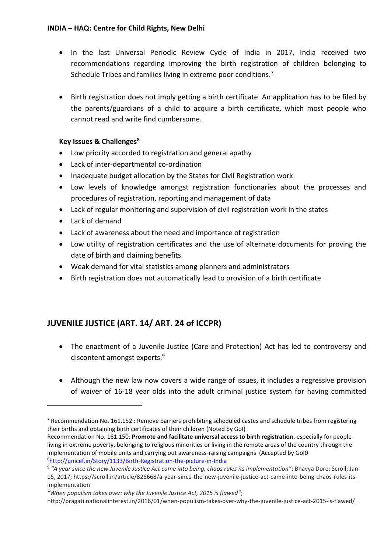- In the last Universal Periodic Review Cycle of India in 2017, India received two recommendations regarding improving the birth registration of children belonging to Schedule Tribes and families living in extreme poor conditions.<sup>7</sup>
- Birth registration does not imply getting a birth certificate. An application has to be filed by the parents/guardians of a child to acquire a birth certificate, which most people who cannot read and write find cumbersome.

#### **Key Issues & Challenges<sup>8</sup>**

- Low priority accorded to registration and general apathy
- Lack of inter-departmental co-ordination
- Inadequate budget allocation by the States for Civil Registration work
- Low levels of knowledge amongst registration functionaries about the processes and procedures of registration, reporting and management of data
- Lack of regular monitoring and supervision of civil registration work in the states
- Lack of demand

 $\overline{\phantom{a}}$ 

- Lack of awareness about the need and importance of registration
- Low utility of registration certificates and the use of alternate documents for proving the date of birth and claiming benefits
- Weak demand for vital statistics among planners and administrators
- Birth registration does not automatically lead to provision of a birth certificate

#### **JUVENILE JUSTICE (ART. 14/ ART. 24 of ICCPR)**

- The enactment of a Juvenile Justice (Care and Protection) Act has led to controversy and discontent amongst experts.<sup>9</sup>
- Although the new law now covers a wide range of issues, it includes a regressive provision of waiver of 16-18 year olds into the adult criminal justice system for having committed

<sup>&</sup>lt;sup>7</sup> Recommendation No. 161.152 : Remove barriers prohibiting scheduled castes and schedule tribes from registering their births and obtaining birth certificates of their children (Noted by GoI)

Recommendation No. 161.150: **Promote and facilitate universal access to birth registration**, especially for people living in extreme poverty, belonging to religious minorities or living in the remote areas of the country through the implementation of mobile units and carrying out awareness-raising campaigns (Accepted by GoI0 <sup>8</sup><http://unicef.in/Story/1133/Birth-Registration-the-picture-in-India>

<sup>9</sup> *"A year since the new Juvenile Justice Act came into being, chaos rules its implementation"*; Bhavya Dore; Scroll; Jan 15, 2017; [https://scroll.in/article/826668/a-year-since-the-new-juvenile-justice-act-came-into-being-chaos-rules-its](https://scroll.in/article/826668/a-year-since-the-new-juvenile-justice-act-came-into-being-chaos-rules-its-implementation)[implementation](https://scroll.in/article/826668/a-year-since-the-new-juvenile-justice-act-came-into-being-chaos-rules-its-implementation)

*<sup>&</sup>quot;When populism takes over: why the Juvenile Justice Act, 2015 is flawed"*; <http://pragati.nationalinterest.in/2016/01/when-populism-takes-over-why-the-juvenile-justice-act-2015-is-flawed/>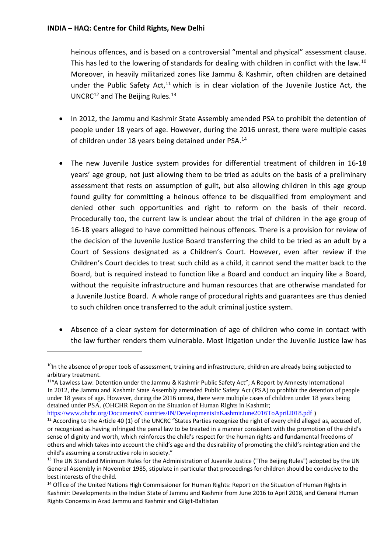**.** 

heinous offences, and is based on a controversial "mental and physical" assessment clause. This has led to the lowering of standards for dealing with children in conflict with the law.<sup>10</sup> Moreover, in heavily militarized zones like Jammu & Kashmir, often children are detained under the Public Safety Act, $11$  which is in clear violation of the Juvenile Justice Act, the UNCRC<sup>12</sup> and The Beijing Rules.<sup>13</sup>

- In 2012, the Jammu and Kashmir State Assembly amended PSA to prohibit the detention of people under 18 years of age. However, during the 2016 unrest, there were multiple cases of children under 18 years being detained under PSA.<sup>14</sup>
- The new Juvenile Justice system provides for differential treatment of children in 16-18 years' age group, not just allowing them to be tried as adults on the basis of a preliminary assessment that rests on assumption of guilt, but also allowing children in this age group found guilty for committing a heinous offence to be disqualified from employment and denied other such opportunities and right to reform on the basis of their record. Procedurally too, the current law is unclear about the trial of children in the age group of 16-18 years alleged to have committed heinous offences. There is a provision for review of the decision of the Juvenile Justice Board transferring the child to be tried as an adult by a Court of Sessions designated as a Children's Court. However, even after review if the Children's Court decides to treat such child as a child, it cannot send the matter back to the Board, but is required instead to function like a Board and conduct an inquiry like a Board, without the requisite infrastructure and human resources that are otherwise mandated for a Juvenile Justice Board. A whole range of procedural rights and guarantees are thus denied to such children once transferred to the adult criminal justice system.
- Absence of a clear system for determination of age of children who come in contact with the law further renders them vulnerable. Most litigation under the Juvenile Justice law has

 $10$ In the absence of proper tools of assessment, training and infrastructure, children are already being subjected to arbitrary treatment.

<sup>11</sup>"A Lawless Law: Detention under the Jammu & Kashmir Public Safety Act"; A Report by Amnesty International In 2012, the Jammu and Kashmir State Assembly amended Public Safety Act (PSA) to prohibit the detention of people under 18 years of age. However, during the 2016 unrest, there were multiple cases of children under 18 years being detained under PSA. (OHCHR Report on the Situation of Human Rights in Kashmir;

<https://www.ohchr.org/Documents/Countries/IN/DevelopmentsInKashmirJune2016ToApril2018.pdf> )

<sup>&</sup>lt;sup>12</sup> According to the Article 40 (1) of the UNCRC "States Parties recognize the right of every child alleged as, accused of, or recognized as having infringed the penal law to be treated in a manner consistent with the promotion of the child's sense of dignity and worth, which reinforces the child's respect for the human rights and fundamental freedoms of others and which takes into account the child's age and the desirability of promoting the child's reintegration and the child's assuming a constructive role in society."

<sup>&</sup>lt;sup>13</sup> The UN Standard Minimum Rules for the Administration of Juvenile Justice ("The Beijing Rules") adopted by the UN General Assembly in November 1985, stipulate in particular that proceedings for children should be conducive to the best interests of the child.

<sup>&</sup>lt;sup>14</sup> Office of the United Nations High Commissioner for Human Rights: Report on the Situation of Human Rights in Kashmir: Developments in the Indian State of Jammu and Kashmir from June 2016 to April 2018, and General Human Rights Concerns in Azad Jammu and Kashmir and Gilgit-Baltistan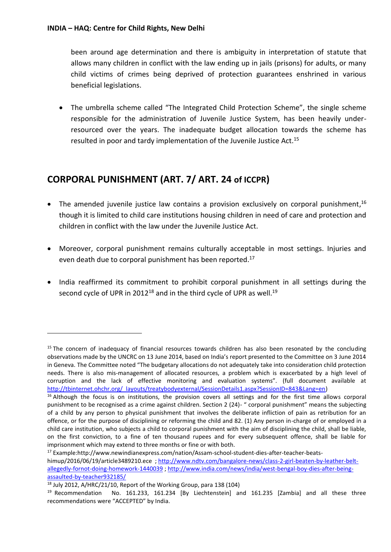been around age determination and there is ambiguity in interpretation of statute that allows many children in conflict with the law ending up in jails (prisons) for adults, or many child victims of crimes being deprived of protection guarantees enshrined in various beneficial legislations.

• The umbrella scheme called "The Integrated Child Protection Scheme", the single scheme responsible for the administration of Juvenile Justice System, has been heavily underresourced over the years. The inadequate budget allocation towards the scheme has resulted in poor and tardy implementation of the Juvenile Justice Act.<sup>15</sup>

### **CORPORAL PUNISHMENT (ART. 7/ ART. 24 of ICCPR)**

- The amended juvenile justice law contains a provision exclusively on corporal punishment,<sup>16</sup> though it is limited to child care institutions housing children in need of care and protection and children in conflict with the law under the Juvenile Justice Act.
- Moreover, corporal punishment remains culturally acceptable in most settings. Injuries and even death due to corporal punishment has been reported.<sup>17</sup>
- India reaffirmed its commitment to prohibit corporal punishment in all settings during the second cycle of UPR in 2012<sup>18</sup> and in the third cycle of UPR as well.<sup>19</sup>

<sup>&</sup>lt;sup>15</sup> The concern of inadequacy of financial resources towards children has also been resonated by the concluding observations made by the UNCRC on 13 June 2014, based on India's report presented to the Committee on 3 June 2014 in Geneva. The Committee noted "The budgetary allocations do not adequately take into consideration child protection needs. There is also mis-management of allocated resources, a problem which is exacerbated by a high level of corruption and the lack of effective monitoring and evaluation systems". (full document available at [http://tbinternet.ohchr.org/\\_layouts/treatybodyexternal/SessionDetails1.aspx?SessionID=843&Lang=en\)](http://tbinternet.ohchr.org/_layouts/treatybodyexternal/SessionDetails1.aspx?SessionID=843&Lang=en)

<sup>&</sup>lt;sup>16</sup> Although the focus is on institutions, the provision covers all settings and for the first time allows corporal punishment to be recognised as a crime against children. Section 2 (24)- " corporal punishment" means the subjecting of a child by any person to physical punishment that involves the deliberate infliction of pain as retribution for an offence, or for the purpose of disciplining or reforming the child and 82. (1) Any person in-charge of or employed in a child care institution, who subjects a child to corporal punishment with the aim of disciplining the child, shall be liable, on the first conviction, to a fine of ten thousand rupees and for every subsequent offence, shall be liable for imprisonment which may extend to three months or fine or with both.

<sup>17</sup> Example:http://www.newindianexpress.com/nation/Assam-school-student-dies-after-teacher-beatshimup/2016/06/19/article3489210.ece ; [http://www.ndtv.com/bangalore-news/class-2-girl-beaten-by-leather-belt](http://www.ndtv.com/bangalore-news/class-2-girl-beaten-by-leather-belt-allegedly-fornot-doing-homework-1440039)[allegedly-fornot-doing-homework-1440039](http://www.ndtv.com/bangalore-news/class-2-girl-beaten-by-leather-belt-allegedly-fornot-doing-homework-1440039)[; http://www.india.com/news/india/west-bengal-boy-dies-after-being](http://www.india.com/news/india/west-bengal-boy-dies-after-being-assaulted-by-teacher932185/)[assaulted-by-teacher932185/](http://www.india.com/news/india/west-bengal-boy-dies-after-being-assaulted-by-teacher932185/)

<sup>18</sup> July 2012, A/HRC/21/10, Report of the Working Group, para 138 (104)

<sup>&</sup>lt;sup>19</sup> Recommendation No. 161.233, 161.234 [By Liechtenstein] and 161.235 [Zambia] and all these three recommendations were "ACCEPTED" by India.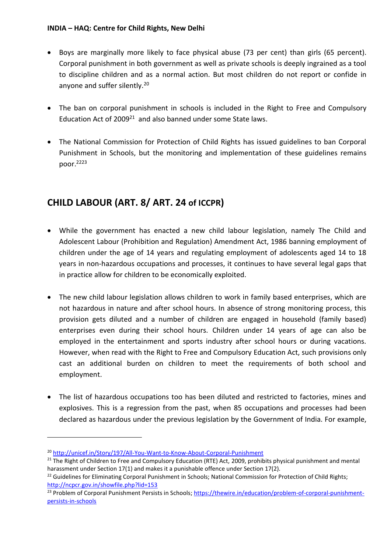- Boys are marginally more likely to face physical abuse (73 per cent) than girls (65 percent). Corporal punishment in both government as well as private schools is deeply ingrained as a tool to discipline children and as a normal action. But most children do not report or confide in anyone and suffer silently.<sup>20</sup>
- The ban on corporal punishment in schools is included in the Right to Free and Compulsory Education Act of 2009<sup>21</sup> and also banned under some State laws.
- The National Commission for Protection of Child Rights has issued guidelines to ban Corporal Punishment in Schools, but the monitoring and implementation of these guidelines remains poor.<sup>2223</sup>

# **CHILD LABOUR (ART. 8/ ART. 24 of ICCPR)**

- While the government has enacted a new child labour legislation, namely The Child and Adolescent Labour (Prohibition and Regulation) Amendment Act, 1986 banning employment of children under the age of 14 years and regulating employment of adolescents aged 14 to 18 years in non-hazardous occupations and processes, it continues to have several legal gaps that in practice allow for children to be economically exploited.
- The new child labour legislation allows children to work in family based enterprises, which are not hazardous in nature and after school hours. In absence of strong monitoring process, this provision gets diluted and a number of children are engaged in household (family based) enterprises even during their school hours. Children under 14 years of age can also be employed in the entertainment and sports industry after school hours or during vacations. However, when read with the Right to Free and Compulsory Education Act, such provisions only cast an additional burden on children to meet the requirements of both school and employment.
- The list of hazardous occupations too has been diluted and restricted to factories, mines and explosives. This is a regression from the past, when 85 occupations and processes had been declared as hazardous under the previous legislation by the Government of India. For example,

<sup>20</sup> <http://unicef.in/Story/197/All-You-Want-to-Know-About-Corporal-Punishment>

<sup>&</sup>lt;sup>21</sup> The Right of Children to Free and Compulsory Education (RTE) Act, 2009, prohibits physical punishment and mental harassment under Section 17(1) and makes it a punishable offence under Section 17(2).

<sup>&</sup>lt;sup>22</sup> Guidelines for Eliminating Corporal Punishment in Schools; National Commission for Protection of Child Rights; <http://ncpcr.gov.in/showfile.php?lid=153>

<sup>&</sup>lt;sup>23</sup> Problem of Corporal Punishment Persists in Schools; [https://thewire.in/education/problem-of-corporal-punishment](https://thewire.in/education/problem-of-corporal-punishment-persists-in-schools)[persists-in-schools](https://thewire.in/education/problem-of-corporal-punishment-persists-in-schools)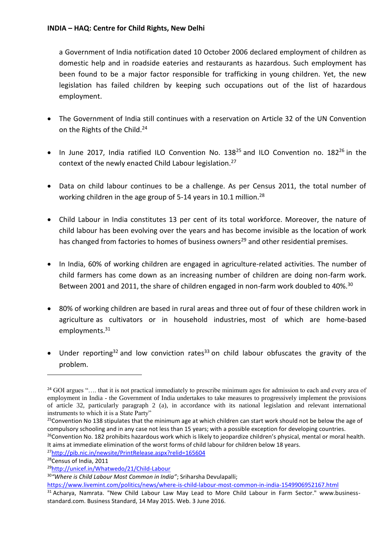a Government of India notification dated 10 October 2006 declared employment of children as domestic help and in roadside eateries and restaurants as hazardous. Such employment has been found to be a major factor responsible for trafficking in young children. Yet, the new legislation has failed children by keeping such occupations out of the list of hazardous employment.

- The Government of India still continues with a reservation on Article 32 of the UN Convention on the Rights of the Child.<sup>24</sup>
- $\bullet$  In June 2017, India ratified ILO Convention No. 138<sup>25</sup> and ILO Convention no. 182<sup>26</sup> in the context of the newly enacted Child Labour legislation.<sup>27</sup>
- Data on child labour continues to be a challenge. As per Census 2011, the total number of working children in the age group of 5-14 years in 10.1 million.<sup>28</sup>
- Child Labour in India constitutes 13 per cent of its total workforce. Moreover, the nature of child labour has been evolving over the years and has become invisible as the location of work has changed from factories to homes of business owners<sup>29</sup> and other residential premises.
- In India, 60% of working children are engaged in agriculture-related activities. The number of child farmers has come down as an increasing number of children are doing non-farm work. Between 2001 and 2011, the share of children engaged in non-farm work doubled to 40%.<sup>30</sup>
- 80% of working children are based in rural areas and three out of four of these children work in agriculture as cultivators or in household industries, most of which are home-based employments.<sup>31</sup>
- Under reporting<sup>32</sup> and low conviction rates<sup>33</sup> on child labour obfuscates the gravity of the problem.

<sup>26</sup>Convention No. 182 prohibits hazardous work which is likely to jeopardize children's physical, mental or moral health. It aims at immediate elimination of the worst forms of child labour for children below 18 years.

<sup>27</sup><http://pib.nic.in/newsite/PrintRelease.aspx?relid=165604>

<sup>28</sup>Census of India, 2011

 $24$  GOI argues ".... that it is not practical immediately to prescribe minimum ages for admission to each and every area of employment in India - the Government of India undertakes to take measures to progressively implement the provisions of article 32, particularly paragraph 2 (a), in accordance with its national legislation and relevant international instruments to which it is a State Party"

 $25$ Convention No 138 stipulates that the minimum age at which children can start work should not be below the age of compulsory schooling and in any case not less than 15 years; with a possible exception for developing countries.

<sup>29</sup><http://unicef.in/Whatwedo/21/Child-Labour>

<sup>30</sup>*"Where is Child Labour Most Common in India"*; Sriharsha Devulapalli;

<https://www.livemint.com/politics/news/where-is-child-labour-most-common-in-india-1549906952167.html>

<sup>&</sup>lt;sup>31</sup> Acharya, Namrata. "New Child Labour Law May Lead to More Child Labour in Farm Sector." www.businessstandard.com. Business Standard, 14 May 2015. Web. 3 June 2016.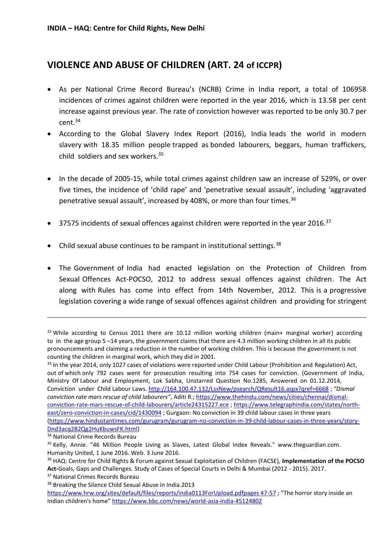### **VIOLENCE AND ABUSE OF CHILDREN (ART. 24 of ICCPR)**

- As per National Crime Record Bureau's (NCRB) Crime in India report, a total of 106958 incidences of crimes against children were reported in the year 2016, which is 13.58 per cent increase against previous year. The rate of conviction however was reported to be only 30.7 per cent.<sup>34</sup>
- According to the Global Slavery Index Report (2016), India leads the world in modern slavery with 18.35 million people trapped as bonded labourers, beggars, human traffickers, child soldiers and sex workers.<sup>35</sup>
- In the decade of 2005-15, while total crimes against children saw an increase of 529%, or over five times, the incidence of 'child rape' and 'penetrative sexual assault', including 'aggravated penetrative sexual assault', increased by 408%, or more than four times.<sup>36</sup>
- $\bullet$  37575 incidents of sexual offences against children were reported in the year 2016.<sup>37</sup>
- Child sexual abuse continues to be rampant in institutional settings.  $38$
- The Government of India had enacted legislation on the Protection of Children from Sexual Offences Act-POCSO, 2012 to address sexual offences against children. The Act along with Rules has come into effect from 14th November, 2012. This is a progressive legislation covering a wide range of sexual offences against children and providing for stringent

 $32$  While according to Census 2011 there are 10.12 million working children (main+ marginal worker) according to in the age group 5 –14 years, the government claims that there are 4.3 million working children in all its public pronouncements and claiming a reduction in the number of working children. This is because the government is not counting the children in marginal work, which they did in 2001.

<sup>&</sup>lt;sup>33</sup> In the year 2014, only 1027 cases of violations were reported under Child Labour (Prohibition and Regulation) Act, out of which only 792 cases went for prosecution resulting into 754 cases for conviction. (Government of India, Ministry Of Labour and Employment, Lok Sabha, Unstarred Question No.1285, Answered on 01.12.2014, Conviction under Child Labour Laws.<http://164.100.47.132/LssNew/psearch/QResult16.aspx?qref=6668> ; *"Dismal conviction rate mars rescue of child labourers"*, Aditi R.[; https://www.thehindu.com/news/cities/chennai/dismal](https://www.thehindu.com/news/cities/chennai/dismal-conviction-rate-mars-rescue-of-child-labourers/article24315227.ece)[conviction-rate-mars-rescue-of-child-labourers/article24315227.ece](https://www.thehindu.com/news/cities/chennai/dismal-conviction-rate-mars-rescue-of-child-labourers/article24315227.ece) ; [https://www.telegraphindia.com/states/north](https://www.telegraphindia.com/states/north-east/zero-conviction-in-cases/cid/1430094)[east/zero-conviction-in-cases/cid/1430094](https://www.telegraphindia.com/states/north-east/zero-conviction-in-cases/cid/1430094) ; Gurgaon: No conviction in 39 child labour cases in three years [\(https://www.hindustantimes.com/gurugram/gurugram-no-conviction-in-39-child-labour-cases-in-three-years/story-](https://www.hindustantimes.com/gurugram/gurugram-no-conviction-in-39-child-labour-cases-in-three-years/story-Dnd3acq2B2Qg2HuKbuwsFK.html)[Dnd3acq2B2Qg2HuKbuwsFK.html\)](https://www.hindustantimes.com/gurugram/gurugram-no-conviction-in-39-child-labour-cases-in-three-years/story-Dnd3acq2B2Qg2HuKbuwsFK.html)

<sup>34</sup> National Crime Records Bureau

<sup>35</sup> Kelly, Annie. "46 Million People Living as Slaves, Latest Global Index Reveals." www.theguardian.com. Humanity United, 1 June 2016. Web. 3 June 2016.

<sup>36</sup> HAQ: Centre for Child Rights & Forum against Sexual Exploitation of Children (FACSE), **Implementation of the POCSO Act-**Goals, Gaps and Challenges. Study of Cases of Special Courts in Delhi & Mumbai (2012 - 2015). 2017.

<sup>37</sup> National Crimes Records Bureau

<sup>38</sup> Breaking the Silence Child Sexual Abuse in India.2013

[https://www.hrw.org/sites/default/files/reports/india0113ForUpload.pdfpages 47-57](https://www.hrw.org/sites/default/files/reports/india0113ForUpload.pdfpages%2047-57) ; "The horror story inside an Indian children's home" <https://www.bbc.com/news/world-asia-india-45124802>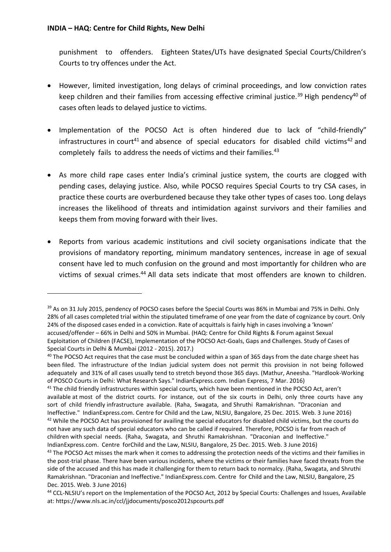**.** 

punishment to offenders. Eighteen States/UTs have designated Special Courts/Children's Courts to try offences under the Act.

- However, limited investigation, long delays of criminal proceedings, and low conviction rates keep children and their families from accessing effective criminal justice.<sup>39</sup> High pendency<sup>40</sup> of cases often leads to delayed justice to victims.
- Implementation of the POCSO Act is often hindered due to lack of "child-friendly" infrastructures in court<sup>41</sup> and absence of special educators for disabled child victims<sup>42</sup> and completely fails to address the needs of victims and their families.<sup>43</sup>
- As more child rape cases enter India's criminal justice system, the courts are clogged with pending cases, delaying justice. Also, while POCSO requires Special Courts to try CSA cases, in practice these courts are overburdened because they take other types of cases too. Long delays increases the likelihood of threats and intimidation against survivors and their families and keeps them from moving forward with their lives.
- Reports from various academic institutions and civil society organisations indicate that the provisions of mandatory reporting, minimum mandatory sentences, increase in age of sexual consent have led to much confusion on the ground and most importantly for children who are victims of sexual crimes.<sup>44</sup> All data sets indicate that most offenders are known to children.

<sup>&</sup>lt;sup>39</sup> As on 31 July 2015, pendency of POCSO cases before the Special Courts was 86% in Mumbai and 75% in Delhi. Only 28% of all cases completed trial within the stipulated timeframe of one year from the date of cognizance by court. Only 24% of the disposed cases ended in a conviction. Rate of acquittals is fairly high in cases involving a 'known' accused/offender – 66% in Delhi and 50% in Mumbai. (HAQ: Centre for Child Rights & Forum against Sexual Exploitation of Children (FACSE), Implementation of the POCSO Act-Goals, Gaps and Challenges. Study of Cases of Special Courts in Delhi & Mumbai (2012 - 2015). 2017.)

<sup>&</sup>lt;sup>40</sup> The POCSO Act requires that the case must be concluded within a span of 365 days from the date charge sheet has been filed. The infrastructure of the Indian judicial system does not permit this provision in not being followed adequately and 31% of all cases usually tend to stretch beyond those 365 days. (Mathur, Aneesha. "Hardlook-Working of POSCO Courts in Delhi: What Research Says." IndianExpress.com. Indian Express, 7 Mar. 2016)

<sup>&</sup>lt;sup>41</sup> The child friendly infrastructures within special courts, which have been mentioned in the POCSO Act, aren't available at most of the district courts. For instance, out of the six courts in Delhi, only three courts have any sort of child friendly infrastructure available. (Raha, Swagata, and Shruthi Ramakrishnan. "Draconian and Ineffective." IndianExpress.com. Centre for Child and the Law, NLSIU, Bangalore, 25 Dec. 2015. Web. 3 June 2016) <sup>42</sup> While the POCSO Act has provisioned for availing the special educators for disabled child victims, but the courts do not have any such data of special educators who can be called if required. Therefore, POCSO is far from reach of children with special needs. (Raha, Swagata, and Shruthi Ramakrishnan. "Draconian and Ineffective." IndianExpress.com. Centre forChild and the Law, NLSIU, Bangalore, 25 Dec. 2015. Web. 3 June 2016)

 $43$  The POCSO Act misses the mark when it comes to addressing the protection needs of the victims and their families in the post-trial phase. There have been various incidents, where the victims or their families have faced threats from the side of the accused and this has made it challenging for them to return back to normalcy. (Raha, Swagata, and Shruthi Ramakrishnan. "Draconian and Ineffective." IndianExpress.com. Centre for Child and the Law, NLSIU, Bangalore, 25 Dec. 2015. Web. 3 June 2016)

<sup>44</sup> CCL-NLSIU's report on the Implementation of the POCSO Act, 2012 by Special Courts: Challenges and Issues, Available at: https://www.nls.ac.in/ccl/jjdocuments/posco2012spcourts.pdf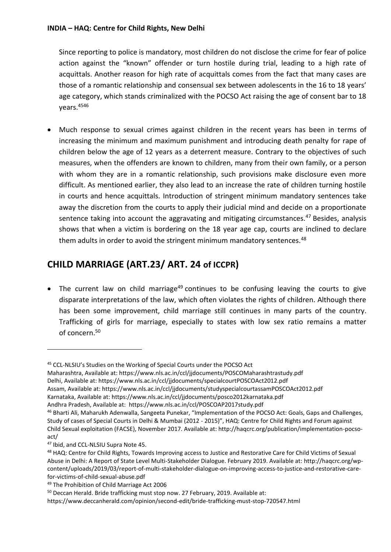Since reporting to police is mandatory, most children do not disclose the crime for fear of police action against the "known" offender or turn hostile during trial, leading to a high rate of acquittals. Another reason for high rate of acquittals comes from the fact that many cases are those of a romantic relationship and consensual sex between adolescents in the 16 to 18 years' age category, which stands criminalized with the POCSO Act raising the age of consent bar to 18 years.<sup>4546</sup>

 Much response to sexual crimes against children in the recent years has been in terms of increasing the minimum and maximum punishment and introducing death penalty for rape of children below the age of 12 years as a deterrent measure. Contrary to the objectives of such measures, when the offenders are known to children, many from their own family, or a person with whom they are in a romantic relationship, such provisions make disclosure even more difficult. As mentioned earlier, they also lead to an increase the rate of children turning hostile in courts and hence acquittals. Introduction of stringent minimum mandatory sentences take away the discretion from the courts to apply their judicial mind and decide on a proportionate sentence taking into account the aggravating and mitigating circumstances.<sup>47</sup> Besides, analysis shows that when a victim is bordering on the 18 year age cap, courts are inclined to declare them adults in order to avoid the stringent minimum mandatory sentences.<sup>48</sup>

# **CHILD MARRIAGE (ART.23/ ART. 24 of ICCPR)**

• The current law on child marriage<sup>49</sup> continues to be confusing leaving the courts to give disparate interpretations of the law, which often violates the rights of children. Although there has been some improvement, child marriage still continues in many parts of the country. Trafficking of girls for marriage, especially to states with low sex ratio remains a matter of concern.<sup>50</sup>

- Maharashtra, Available at: https://www.nls.ac.in/ccl/jjdocuments/POSCOMaharashtrastudy.pdf Delhi, Available at: https://www.nls.ac.in/ccl/jjdocuments/specialcourtPOSCOAct2012.pdf Assam, Available at: https://www.nls.ac.in/ccl/jjdocuments/studyspecialcourtassamPOSCOAct2012.pdf
- Karnataka, Available at: https://www.nls.ac.in/ccl/jjdocuments/posco2012karnataka.pdf

 $\overline{a}$ 

<sup>45</sup> CCL-NLSIU's Studies on the Working of Special Courts under the POCSO Act

Andhra Pradesh, Available at: https://www.nls.ac.in/ccl/POSCOAP2017study.pdf

<sup>46</sup> Bharti Ali, Maharukh Adenwalla, Sangeeta Punekar, "Implementation of the POCSO Act: Goals, Gaps and Challenges, Study of cases of Special Courts in Delhi & Mumbai (2012 - 2015)", HAQ: Centre for Child Rights and Forum against Child Sexual exploitation (FACSE), November 2017. Available at: http://haqcrc.org/publication/implementation-pocsoact/

<sup>47</sup> Ibid, and CCL-NLSIU Supra Note 45.

<sup>48</sup> HAQ: Centre for Child Rights, Towards Improving access to Justice and Restorative Care for Child Victims of Sexual Abuse in Delhi: A Report of State Level Multi-Stakeholder Dialogue. February 2019. Available at: http://haqcrc.org/wpcontent/uploads/2019/03/report-of-multi-stakeholder-dialogue-on-improving-access-to-justice-and-restorative-carefor-victims-of-child-sexual-abuse.pdf

<sup>49</sup> The Prohibition of Child Marriage Act 2006

<sup>&</sup>lt;sup>50</sup> Deccan Herald. Bride trafficking must stop now. 27 February, 2019. Available at:

https://www.deccanherald.com/opinion/second-edit/bride-trafficking-must-stop-720547.html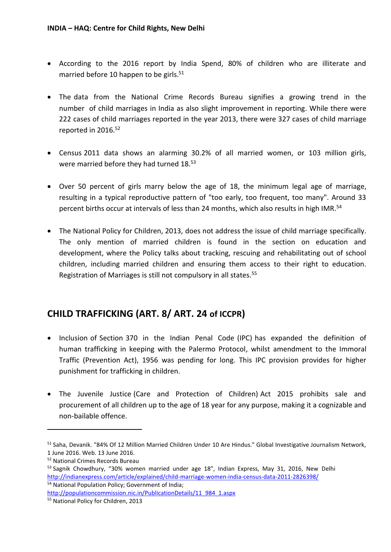- According to the 2016 report by India Spend, 80% of children who are illiterate and married before 10 happen to be girls.<sup>51</sup>
- The data from the National Crime Records Bureau signifies a growing trend in the number of child marriages in India as also slight improvement in reporting. While there were 222 cases of child marriages reported in the year 2013, there were 327 cases of child marriage reported in 2016.<sup>52</sup>
- Census 2011 data shows an alarming 30.2% of all married women, or 103 million girls, were married before they had turned 18.<sup>53</sup>
- Over 50 percent of girls marry below the age of 18, the minimum legal age of marriage, resulting in a typical reproductive pattern of "too early, too frequent, too many". Around 33 percent births occur at intervals of less than 24 months, which also results in high IMR.<sup>54</sup>
- The National Policy for Children, 2013, does not address the issue of child marriage specifically. The only mention of married children is found in the section on education and development, where the Policy talks about tracking, rescuing and rehabilitating out of school children, including married children and ensuring them access to their right to education. Registration of Marriages is still not compulsory in all states.<sup>55</sup>

## **CHILD TRAFFICKING (ART. 8/ ART. 24 of ICCPR)**

- Inclusion of Section 370 in the Indian Penal Code (IPC) has expanded the definition of human trafficking in keeping with the Palermo Protocol, whilst amendment to the Immoral Traffic (Prevention Act), 1956 was pending for long. This IPC provision provides for higher punishment for trafficking in children.
- The Juvenile Justice (Care and Protection of Children) Act 2015 prohibits sale and procurement of all children up to the age of 18 year for any purpose, making it a cognizable and non-bailable offence.

<sup>51</sup> Saha, Devanik. "84% Of 12 Million Married Children Under 10 Are Hindus." Global Investigative Journalism Network, 1 June 2016. Web. 13 June 2016.

<sup>52</sup> National Crimes Records Bureau

<sup>&</sup>lt;sup>53</sup> Sagnik Chowdhury, "30% women married under age 18", Indian Express, May 31, 2016, New Delhi <http://indianexpress.com/article/explained/child-marriage-women-india-census-data-2011-2826398/> <sup>54</sup> National Population Policy; Government of India;

[http://populationcommission.nic.in/PublicationDetails/11\\_984\\_1.aspx](http://populationcommission.nic.in/PublicationDetails/11_984_1.aspx)

<sup>55</sup> National Policy for Children, 2013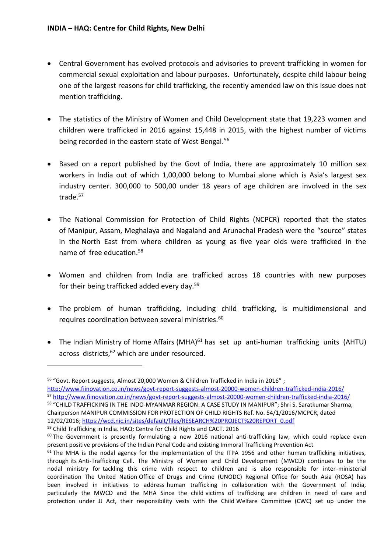- Central Government has evolved protocols and advisories to prevent trafficking in women for commercial sexual exploitation and labour purposes. Unfortunately, despite child labour being one of the largest reasons for child trafficking, the recently amended law on this issue does not mention trafficking.
- The statistics of the Ministry of Women and Child Development state that 19,223 women and children were trafficked in 2016 against 15,448 in 2015, with the highest number of victims being recorded in the eastern state of West Bengal.<sup>56</sup>
- Based on a report published by the Govt of India, there are approximately 10 million sex workers in India out of which 1,00,000 belong to Mumbai alone which is Asia's largest sex industry center. 300,000 to 500,00 under 18 years of age children are involved in the sex trade.<sup>57</sup>
- The National Commission for Protection of Child Rights (NCPCR) reported that the states of Manipur, Assam, Meghalaya and Nagaland and Arunachal Pradesh were the "source" states in the North East from where children as young as five year olds were trafficked in the name of free education.<sup>58</sup>
- Women and children from India are trafficked across 18 countries with new purposes for their being trafficked added every day.<sup>59</sup>
- The problem of human trafficking, including child trafficking, is multidimensional and requires coordination between several ministries.<sup>60</sup>
- The Indian Ministry of Home Affairs (MHA) $61$  has set up anti-human trafficking units (AHTU) across districts, <sup>62</sup> which are under resourced.

 $\overline{a}$ 

<sup>&</sup>lt;sup>56</sup> "Govt. Report suggests, Almost 20,000 Women & Children Trafficked in India in 2016";

<http://www.fiinovation.co.in/news/govt-report-suggests-almost-20000-women-children-trafficked-india-2016/> <sup>57</sup> <http://www.fiinovation.co.in/news/govt-report-suggests-almost-20000-women-children-trafficked-india-2016/> <sup>58</sup> "CHILD TRAFFICKING IN THE INDO-MYANMAR REGION: A CASE STUDY IN MANIPUR"; Shri S. Saratkumar Sharma,

Chairperson MANIPUR COMMISSION FOR PROTECTION OF CHILD RIGHTS Ref. No. 54/1/2016/MCPCR, dated 12/02/2016; [https://wcd.nic.in/sites/default/files/RESEARCH%20PROJECT%20REPORT\\_0.pdf](https://wcd.nic.in/sites/default/files/RESEARCH%20PROJECT%20REPORT_0.pdf)

<sup>59</sup> Child Trafficking in India. HAQ: Centre for Child Rights and CACT. 2016

<sup>&</sup>lt;sup>60</sup> The Government is presently formulating a new 2016 national anti-trafficking law, which could replace even present positive provisions of the Indian Penal Code and existing Immoral Trafficking Prevention Act

 $61$  The MHA is the nodal agency for the implementation of the ITPA 1956 and other human trafficking initiatives, through its Anti-Trafficking Cell. The Ministry of Women and Child Development (MWCD) continues to be the nodal ministry for tackling this crime with respect to children and is also responsible for inter-ministerial coordination The United Nation Office of Drugs and Crime (UNODC) Regional Office for South Asia (ROSA) has been involved in initiatives to address human trafficking in collaboration with the Government of India, particularly the MWCD and the MHA Since the child victims of trafficking are children in need of care and protection under JJ Act, their responsibility vests with the Child Welfare Committee (CWC) set up under the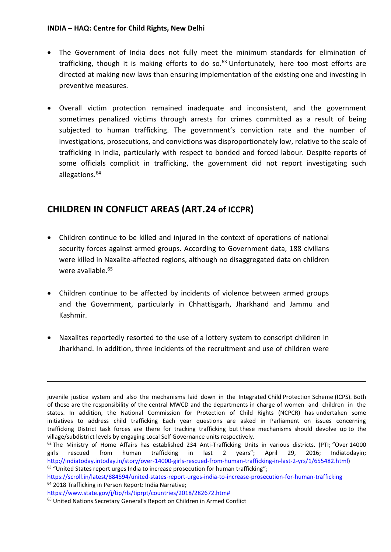#### **INDIA – HAQ: Centre for Child Rights, New Delhi**

- The Government of India does not fully meet the minimum standards for elimination of trafficking, though it is making efforts to do so. $63$  Unfortunately, here too most efforts are directed at making new laws than ensuring implementation of the existing one and investing in preventive measures.
- Overall victim protection remained inadequate and inconsistent, and the government sometimes penalized victims through arrests for crimes committed as a result of being subjected to human trafficking. The government's conviction rate and the number of investigations, prosecutions, and convictions was disproportionately low, relative to the scale of trafficking in India, particularly with respect to bonded and forced labour. Despite reports of some officials complicit in trafficking, the government did not report investigating such allegations.<sup>64</sup>

# **CHILDREN IN CONFLICT AREAS (ART.24 of ICCPR)**

- Children continue to be killed and injured in the context of operations of national security forces against armed groups. According to Government data, 188 civilians were killed in Naxalite-affected regions, although no disaggregated data on children were available. 65
- Children continue to be affected by incidents of violence between armed groups and the Government, particularly in Chhattisgarh, Jharkhand and Jammu and Kashmir.
- Naxalites reportedly resorted to the use of a lottery system to conscript children in Jharkhand. In addition, three incidents of the recruitment and use of children were

juvenile justice system and also the mechanisms laid down in the Integrated Child Protection Scheme (ICPS). Both of these are the responsibility of the central MWCD and the departments in charge of women and children in the states. In addition, the National Commission for Protection of Child Rights (NCPCR) has undertaken some initiatives to address child trafficking Each year questions are asked in Parliament on issues concerning trafficking District task forces are there for tracking trafficking but these mechanisms should devolve up to the village/subdistrict levels by engaging Local Self Governance units respectively.

 $62$  The Ministry of Home Affairs has established 234 Anti-Trafficking Units in various districts. (PTI; "Over 14000 girls rescued from human trafficking in last 2 years"; April 29, 2016; Indiatodayin; [http://indiatoday.intoday.in/story/over-14000-girls-rescued-from-human-trafficking-in-last-2-yrs/1/655482.html\)](http://indiatoday.intoday.in/story/over-14000-girls-rescued-from-human-trafficking-in-last-2-yrs/1/655482.html)  $63$  "United States report urges India to increase prosecution for human trafficking";

<https://scroll.in/latest/884594/united-states-report-urges-india-to-increase-prosecution-for-human-trafficking> <sup>64</sup> 2018 Trafficking in Person Report: India Narrative;

[https://www.state.gov/j/tip/rls/tiprpt/countries/2018/282672.htm#](https://www.state.gov/j/tip/rls/tiprpt/countries/2018/282672.htm)

<sup>65</sup> United Nations Secretary General's Report on Children in Armed Conflict